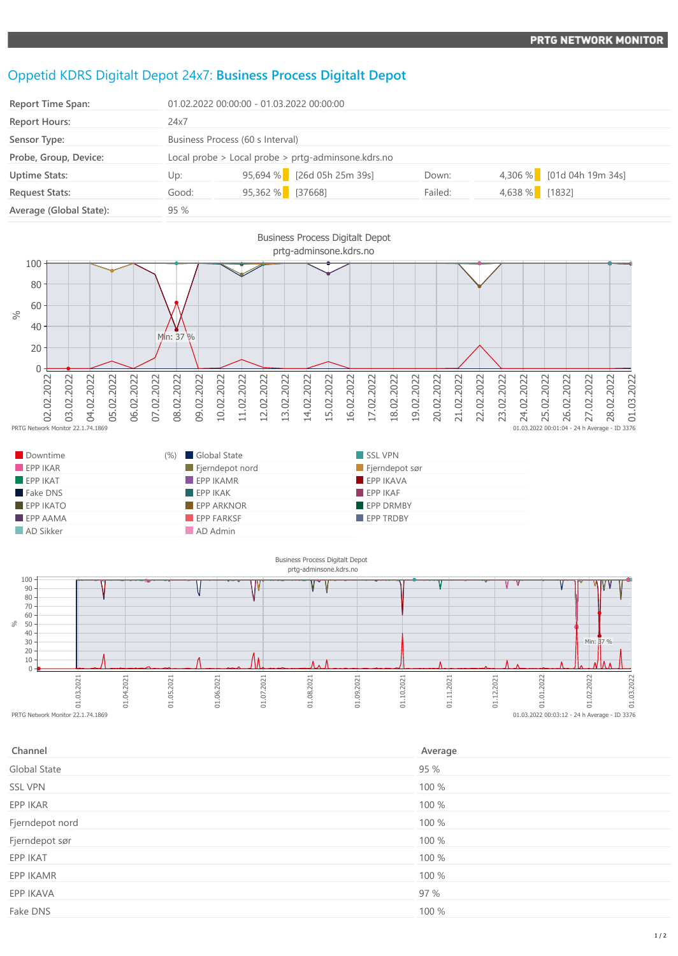## Oppetid KDRS Digitalt Depot 24x7: **Business Process Digitalt Depot**

| <b>Report Time Span:</b> |       | 01.02.2022 00:00:00 - 01.03.2022 00:00:00          |                            |         |        |                           |  |
|--------------------------|-------|----------------------------------------------------|----------------------------|---------|--------|---------------------------|--|
| <b>Report Hours:</b>     | 24x7  |                                                    |                            |         |        |                           |  |
| Sensor Type:             |       | Business Process (60 s Interval)                   |                            |         |        |                           |  |
| Probe, Group, Device:    |       | Local probe > Local probe > prtg-adminsone.kdrs.no |                            |         |        |                           |  |
| <b>Uptime Stats:</b>     | Up:   |                                                    | 95,694 % [26d 05h 25m 39s] | Down:   |        | 4,306 % [01d 04h 19m 34s] |  |
| <b>Request Stats:</b>    | Good: | 95,362 % [37668]                                   |                            | Failed: | 4,638% | [1832]                    |  |
| Average (Global State):  | 95%   |                                                    |                            |         |        |                           |  |



| Downtime                | (%) Global State         | SSL VPN               |  |
|-------------------------|--------------------------|-----------------------|--|
| EPPIKAR                 | Fjerndepot nord          | $\Box$ Fjerndepot sør |  |
| EPPIKAT                 | $\blacksquare$ EPP IKAMR | EPP IKAVA             |  |
| Fake DNS                | EPPIKAK                  | FPPIKAF               |  |
| $EPP$ IKATO             | <b>EPP ARKNOR</b>        | <b>EPP DRMBY</b>      |  |
| $\blacksquare$ EPP AAMA | EPP FARKSF               | <b>EPP TRDBY</b>      |  |
| AD Sikker               | AD Admin                 |                       |  |



| Channel         | Average |
|-----------------|---------|
| Global State    | 95 %    |
| <b>SSL VPN</b>  | 100 %   |
| EPP IKAR        | 100 %   |
| Fjerndepot nord | 100 %   |
| Fjerndepot sør  | 100 %   |
| EPP IKAT        | 100 %   |
| EPP IKAMR       | 100 %   |
| EPP IKAVA       | 97 %    |
| Fake DNS        | 100 %   |
|                 |         |